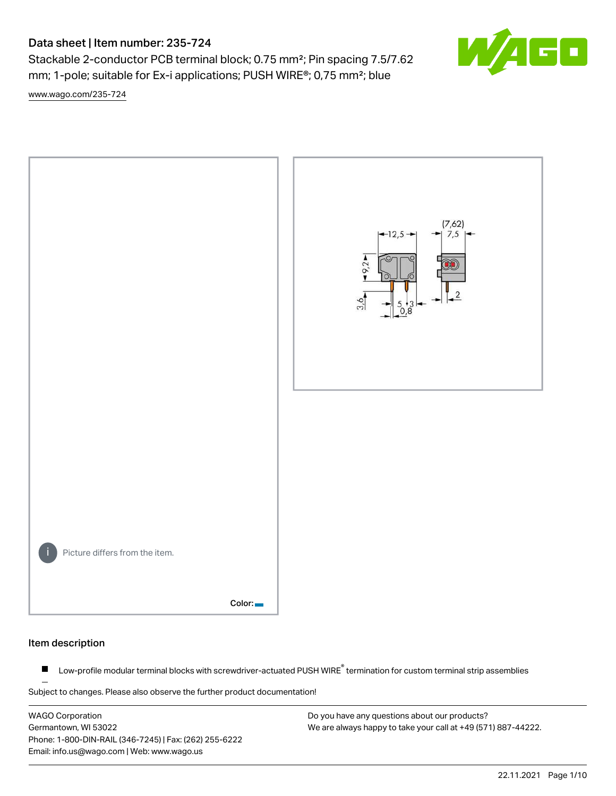Stackable 2-conductor PCB terminal block; 0.75 mm²; Pin spacing 7.5/7.62 mm; 1-pole; suitable for Ex-i applications; PUSH WIRE®; 0,75 mm²; blue

[www.wago.com/235-724](http://www.wago.com/235-724)



### Item description

Low-profile modular terminal blocks with screwdriver-actuated PUSH WIRE<sup>®</sup> termination for custom terminal strip assemblies  $\blacksquare$ 

Subject to changes. Please also observe the further product documentation!

WAGO Corporation Germantown, WI 53022 Phone: 1-800-DIN-RAIL (346-7245) | Fax: (262) 255-6222 Email: info.us@wago.com | Web: www.wago.us

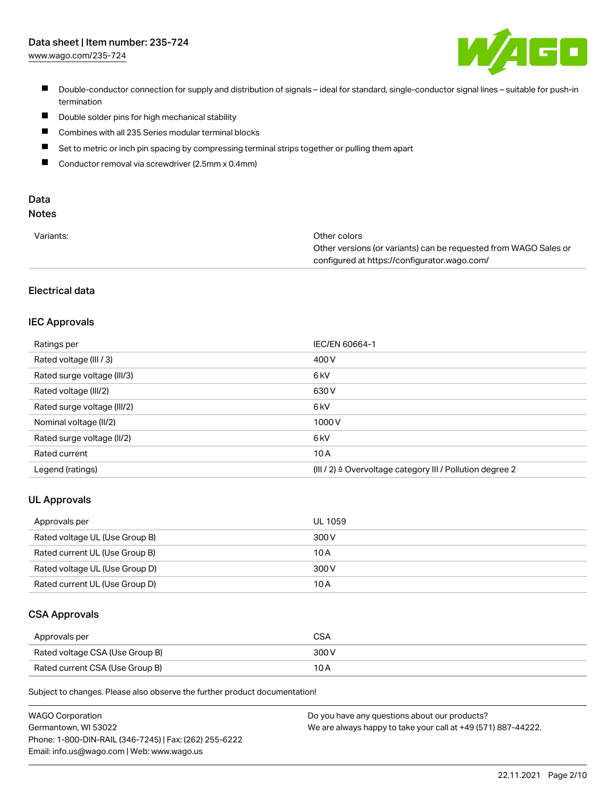[www.wago.com/235-724](http://www.wago.com/235-724)



- Double-conductor connection for supply and distribution of signals ideal for standard, single-conductor signal lines suitable for push-in termination
- $\blacksquare$ Double solder pins for high mechanical stability
- $\blacksquare$ Combines with all 235 Series modular terminal blocks
- $\blacksquare$ Set to metric or inch pin spacing by compressing terminal strips together or pulling them apart
- $\blacksquare$ Conductor removal via screwdriver (2.5mm x 0.4mm)

# Data

# Notes

| Variants: | Other colors                                                     |
|-----------|------------------------------------------------------------------|
|           | Other versions (or variants) can be requested from WAGO Sales or |
|           | configured at https://configurator.wago.com/                     |

## Electrical data

### IEC Approvals

| Ratings per                 | IEC/EN 60664-1                                                        |
|-----------------------------|-----------------------------------------------------------------------|
| Rated voltage (III / 3)     | 400 V                                                                 |
| Rated surge voltage (III/3) | 6 kV                                                                  |
| Rated voltage (III/2)       | 630 V                                                                 |
| Rated surge voltage (III/2) | 6 <sub>k</sub> V                                                      |
| Nominal voltage (II/2)      | 1000V                                                                 |
| Rated surge voltage (II/2)  | 6 <sub>k</sub> V                                                      |
| Rated current               | 10A                                                                   |
| Legend (ratings)            | $(III / 2)$ $\triangle$ Overvoltage category III / Pollution degree 2 |

### UL Approvals

| Approvals per                  | UL 1059 |
|--------------------------------|---------|
| Rated voltage UL (Use Group B) | 300 V   |
| Rated current UL (Use Group B) | 10 A    |
| Rated voltage UL (Use Group D) | 300 V   |
| Rated current UL (Use Group D) | 10 A    |

### CSA Approvals

| Approvals per                   | CSA   |
|---------------------------------|-------|
| Rated voltage CSA (Use Group B) | 300 V |
| Rated current CSA (Use Group B) | 10 A  |

Subject to changes. Please also observe the further product documentation!

| <b>WAGO Corporation</b>                                | Do you have any questions about our products?                 |
|--------------------------------------------------------|---------------------------------------------------------------|
| Germantown, WI 53022                                   | We are always happy to take your call at +49 (571) 887-44222. |
| Phone: 1-800-DIN-RAIL (346-7245)   Fax: (262) 255-6222 |                                                               |
| Email: info.us@wago.com   Web: www.wago.us             |                                                               |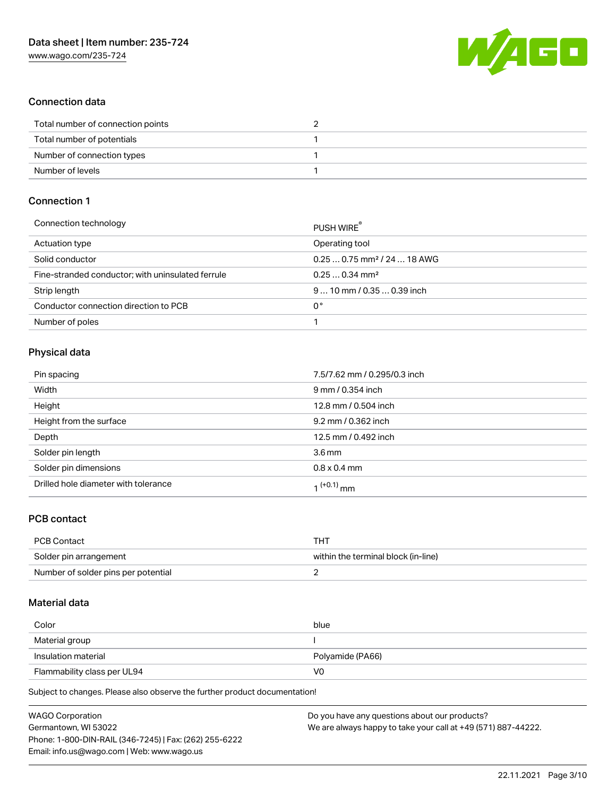

### Connection data

| Total number of connection points |  |
|-----------------------------------|--|
| Total number of potentials        |  |
| Number of connection types        |  |
| Number of levels                  |  |

## Connection 1

| Connection technology                             | PUSH WIRE                               |
|---------------------------------------------------|-----------------------------------------|
| Actuation type                                    | Operating tool                          |
| Solid conductor                                   | $0.250.75$ mm <sup>2</sup> / 24  18 AWG |
| Fine-stranded conductor; with uninsulated ferrule | $0.250.34$ mm <sup>2</sup>              |
| Strip length                                      | $910$ mm / 0.35  0.39 inch              |
| Conductor connection direction to PCB             | 0°                                      |
| Number of poles                                   |                                         |

### Physical data

| Pin spacing                          | 7.5/7.62 mm / 0.295/0.3 inch |
|--------------------------------------|------------------------------|
| Width                                | 9 mm / 0.354 inch            |
| Height                               | 12.8 mm / 0.504 inch         |
| Height from the surface              | 9.2 mm / 0.362 inch          |
| Depth                                | 12.5 mm / 0.492 inch         |
| Solder pin length                    | 3.6 <sub>mm</sub>            |
| Solder pin dimensions                | $0.8 \times 0.4$ mm          |
| Drilled hole diameter with tolerance | 1 <sup>(+0.1)</sup> mm       |

### PCB contact

| PCB Contact                         | THT                                 |
|-------------------------------------|-------------------------------------|
| Solder pin arrangement              | within the terminal block (in-line) |
| Number of solder pins per potential |                                     |

### Material data

| Color                       | blue             |
|-----------------------------|------------------|
| Material group              |                  |
| Insulation material         | Polyamide (PA66) |
| Flammability class per UL94 | V0               |

Subject to changes. Please also observe the further product documentation!

| <b>WAGO Corporation</b>                                | Do you have any questions about our products?                 |
|--------------------------------------------------------|---------------------------------------------------------------|
| Germantown, WI 53022                                   | We are always happy to take your call at +49 (571) 887-44222. |
| Phone: 1-800-DIN-RAIL (346-7245)   Fax: (262) 255-6222 |                                                               |
| Email: info.us@wago.com   Web: www.wago.us             |                                                               |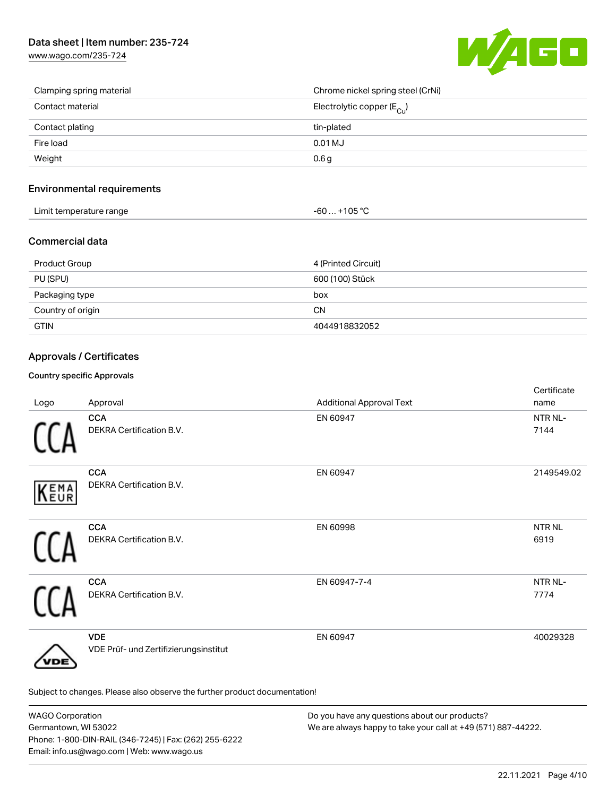

| Clamping spring material | Chrome nickel spring steel (CrNi)       |
|--------------------------|-----------------------------------------|
| Contact material         | Electrolytic copper ( $E_{\text{Cu}}$ ) |
| Contact plating          | tin-plated                              |
| Fire load                | 0.01 MJ                                 |
| Weight                   | 0.6 <sub>g</sub>                        |

### Environmental requirements

| .<br>Limit temperature range<br>.<br>. . | 105.0C<br>TUE<br>JU<br>. . |  |
|------------------------------------------|----------------------------|--|
|------------------------------------------|----------------------------|--|

# Commercial data

| Product Group     | 4 (Printed Circuit) |
|-------------------|---------------------|
| PU (SPU)          | 600 (100) Stück     |
| Packaging type    | box                 |
| Country of origin | <b>CN</b>           |
| <b>GTIN</b>       | 4044918832052       |

# Approvals / Certificates

### Country specific Approvals

| Logo | Approval                                                                   | <b>Additional Approval Text</b> | Certificate<br>name       |
|------|----------------------------------------------------------------------------|---------------------------------|---------------------------|
|      | <b>CCA</b><br>DEKRA Certification B.V.                                     | EN 60947                        | NTR NL-<br>7144           |
| KEMA | <b>CCA</b><br>DEKRA Certification B.V.                                     | EN 60947                        | 2149549.02                |
|      | <b>CCA</b><br>DEKRA Certification B.V.                                     | EN 60998                        | NTR <sub>NL</sub><br>6919 |
|      | <b>CCA</b><br>DEKRA Certification B.V.                                     | EN 60947-7-4                    | NTR NL-<br>7774           |
| 'DE  | <b>VDE</b><br>VDE Prüf- und Zertifizierungsinstitut                        | EN 60947                        | 40029328                  |
|      | Subject to changes. Please also observe the further product documentation! |                                 |                           |

| <b>WAGO Corporation</b>                                | Do you have any questions about our products?                 |
|--------------------------------------------------------|---------------------------------------------------------------|
| Germantown, WI 53022                                   | We are always happy to take your call at +49 (571) 887-44222. |
| Phone: 1-800-DIN-RAIL (346-7245)   Fax: (262) 255-6222 |                                                               |
| Email: info.us@wago.com   Web: www.wago.us             |                                                               |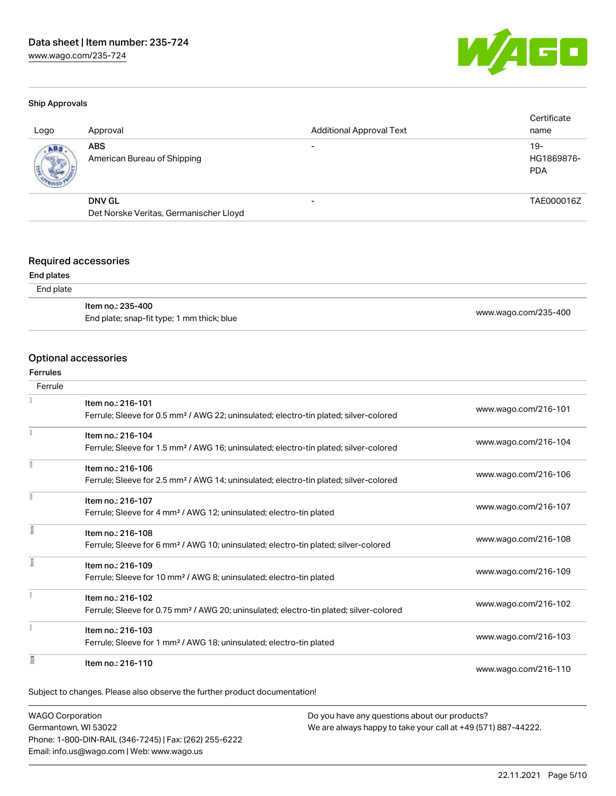

#### Ship Approvals

| Logo | Approval                                  | <b>Additional Approval Text</b> | Certificate<br>name               |
|------|-------------------------------------------|---------------------------------|-----------------------------------|
| ABS  | <b>ABS</b><br>American Bureau of Shipping |                                 | $19-$<br>HG1869876-<br><b>PDA</b> |
|      | <b>DNV GL</b>                             |                                 | TAE000016Z                        |
|      | Det Norske Veritas, Germanischer Lloyd    |                                 |                                   |

### Required accessories

#### End plates

#### End plate

| ltem no.: 235-400                          |                      |
|--------------------------------------------|----------------------|
| End plate; snap-fit type; 1 mm thick; blue | www.wago.com/235-400 |

#### Optional accessories

#### Ferrules

| Ferrule |                                                                                                    |                      |
|---------|----------------------------------------------------------------------------------------------------|----------------------|
|         | Item no.: 216-101                                                                                  |                      |
|         | Ferrule; Sleeve for 0.5 mm <sup>2</sup> / AWG 22; uninsulated; electro-tin plated; silver-colored  | www.wago.com/216-101 |
|         | Item no.: 216-104                                                                                  |                      |
|         | Ferrule; Sleeve for 1.5 mm <sup>2</sup> / AWG 16; uninsulated; electro-tin plated; silver-colored  | www.wago.com/216-104 |
|         | Item no.: 216-106                                                                                  |                      |
|         | Ferrule; Sleeve for 2.5 mm <sup>2</sup> / AWG 14; uninsulated; electro-tin plated; silver-colored  | www.wago.com/216-106 |
|         | Item no.: 216-107                                                                                  |                      |
|         | Ferrule; Sleeve for 4 mm <sup>2</sup> / AWG 12; uninsulated; electro-tin plated                    | www.wago.com/216-107 |
|         | Item no.: 216-108                                                                                  |                      |
|         | Ferrule; Sleeve for 6 mm <sup>2</sup> / AWG 10; uninsulated; electro-tin plated; silver-colored    | www.wago.com/216-108 |
|         | Item no.: 216-109                                                                                  |                      |
|         | Ferrule; Sleeve for 10 mm <sup>2</sup> / AWG 8; uninsulated; electro-tin plated                    | www.wago.com/216-109 |
|         | Item no.: 216-102                                                                                  |                      |
|         | Ferrule; Sleeve for 0.75 mm <sup>2</sup> / AWG 20; uninsulated; electro-tin plated; silver-colored | www.wago.com/216-102 |
|         | Item no.: 216-103                                                                                  |                      |
|         | Ferrule; Sleeve for 1 mm <sup>2</sup> / AWG 18; uninsulated; electro-tin plated                    | www.wago.com/216-103 |
|         | Item no.: 216-110                                                                                  |                      |
|         |                                                                                                    | www.wago.com/216-110 |

WAGO Corporation Germantown, WI 53022 Phone: 1-800-DIN-RAIL (346-7245) | Fax: (262) 255-6222 Email: info.us@wago.com | Web: www.wago.us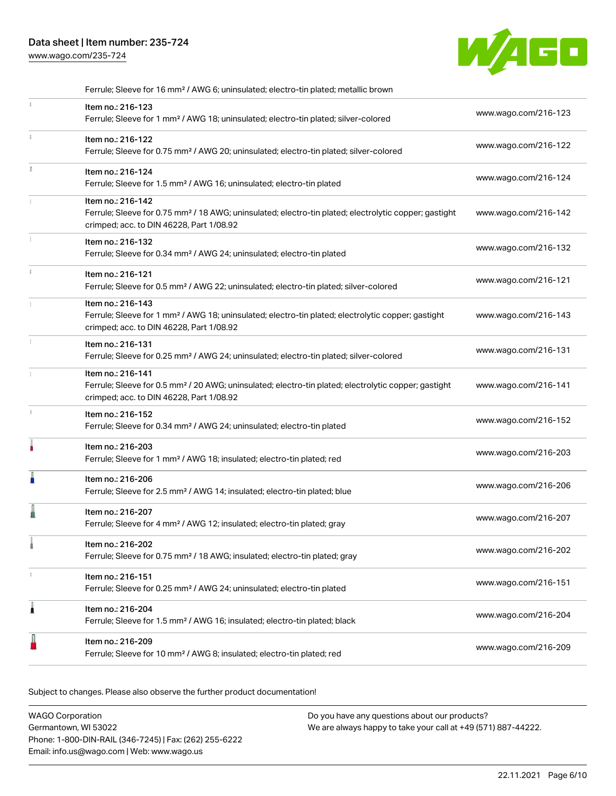[www.wago.com/235-724](http://www.wago.com/235-724)



|    | Ferrule; Sleeve for 16 mm <sup>2</sup> / AWG 6; uninsulated; electro-tin plated; metallic brown                                                                                    |                      |
|----|------------------------------------------------------------------------------------------------------------------------------------------------------------------------------------|----------------------|
|    | Item no.: 216-123<br>Ferrule; Sleeve for 1 mm <sup>2</sup> / AWG 18; uninsulated; electro-tin plated; silver-colored                                                               | www.wago.com/216-123 |
| î. | Item no.: 216-122<br>Ferrule; Sleeve for 0.75 mm <sup>2</sup> / AWG 20; uninsulated; electro-tin plated; silver-colored                                                            | www.wago.com/216-122 |
| Ĭ. | Item no.: 216-124<br>Ferrule; Sleeve for 1.5 mm <sup>2</sup> / AWG 16; uninsulated; electro-tin plated                                                                             | www.wago.com/216-124 |
|    | Item no.: 216-142<br>Ferrule; Sleeve for 0.75 mm <sup>2</sup> / 18 AWG; uninsulated; electro-tin plated; electrolytic copper; gastight<br>crimped; acc. to DIN 46228, Part 1/08.92 | www.wago.com/216-142 |
|    | Item no.: 216-132<br>Ferrule; Sleeve for 0.34 mm <sup>2</sup> / AWG 24; uninsulated; electro-tin plated                                                                            | www.wago.com/216-132 |
|    | Item no.: 216-121<br>Ferrule; Sleeve for 0.5 mm <sup>2</sup> / AWG 22; uninsulated; electro-tin plated; silver-colored                                                             | www.wago.com/216-121 |
|    | Item no.: 216-143<br>Ferrule; Sleeve for 1 mm <sup>2</sup> / AWG 18; uninsulated; electro-tin plated; electrolytic copper; gastight<br>crimped; acc. to DIN 46228, Part 1/08.92    | www.wago.com/216-143 |
|    | Item no.: 216-131<br>Ferrule; Sleeve for 0.25 mm <sup>2</sup> / AWG 24; uninsulated; electro-tin plated; silver-colored                                                            | www.wago.com/216-131 |
|    | Item no.: 216-141<br>Ferrule; Sleeve for 0.5 mm <sup>2</sup> / 20 AWG; uninsulated; electro-tin plated; electrolytic copper; gastight<br>crimped; acc. to DIN 46228, Part 1/08.92  | www.wago.com/216-141 |
| t. | Item no.: 216-152<br>Ferrule; Sleeve for 0.34 mm <sup>2</sup> / AWG 24; uninsulated; electro-tin plated                                                                            | www.wago.com/216-152 |
|    | Item no.: 216-203<br>Ferrule; Sleeve for 1 mm <sup>2</sup> / AWG 18; insulated; electro-tin plated; red                                                                            | www.wago.com/216-203 |
|    | Item no.: 216-206<br>Ferrule; Sleeve for 2.5 mm <sup>2</sup> / AWG 14; insulated; electro-tin plated; blue                                                                         | www.wago.com/216-206 |
|    | Item no.: 216-207<br>Ferrule; Sleeve for 4 mm <sup>2</sup> / AWG 12; insulated; electro-tin plated; gray                                                                           | www.wago.com/216-207 |
|    | Item no.: 216-202<br>Ferrule; Sleeve for 0.75 mm <sup>2</sup> / 18 AWG; insulated; electro-tin plated; gray                                                                        | www.wago.com/216-202 |
| I  | Item no.: 216-151<br>Ferrule; Sleeve for 0.25 mm <sup>2</sup> / AWG 24; uninsulated; electro-tin plated                                                                            | www.wago.com/216-151 |
| Â  | Item no.: 216-204<br>Ferrule; Sleeve for 1.5 mm <sup>2</sup> / AWG 16; insulated; electro-tin plated; black                                                                        | www.wago.com/216-204 |
|    | Item no.: 216-209<br>Ferrule; Sleeve for 10 mm <sup>2</sup> / AWG 8; insulated; electro-tin plated; red                                                                            | www.wago.com/216-209 |
|    |                                                                                                                                                                                    |                      |

Subject to changes. Please also observe the further product documentation!

WAGO Corporation Germantown, WI 53022 Phone: 1-800-DIN-RAIL (346-7245) | Fax: (262) 255-6222 Email: info.us@wago.com | Web: www.wago.us Do you have any questions about our products? We are always happy to take your call at +49 (571) 887-44222.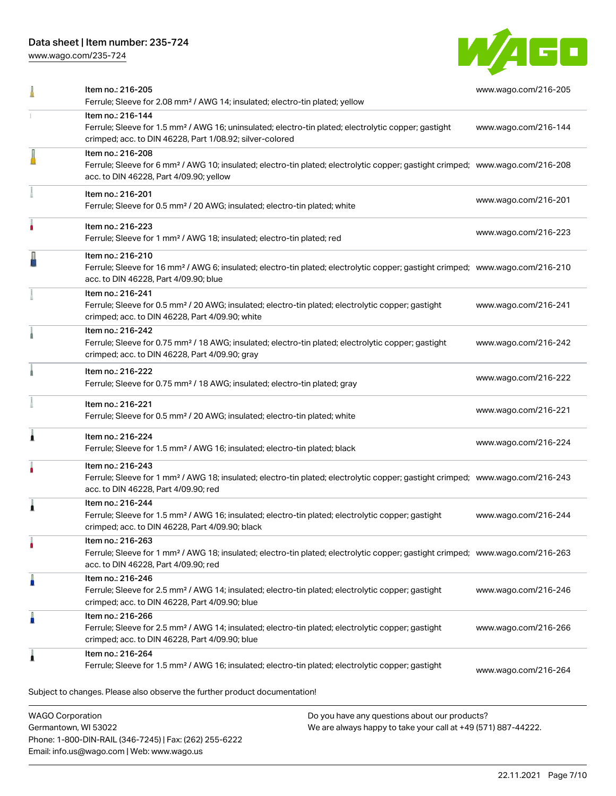Phone: 1-800-DIN-RAIL (346-7245) | Fax: (262) 255-6222

Email: info.us@wago.com | Web: www.wago.us

[www.wago.com/235-724](http://www.wago.com/235-724)



|                                                 | Item no.: 216-205<br>Ferrule; Sleeve for 2.08 mm <sup>2</sup> / AWG 14; insulated; electro-tin plated; yellow                                                                                              |                                                                                                                | www.wago.com/216-205 |
|-------------------------------------------------|------------------------------------------------------------------------------------------------------------------------------------------------------------------------------------------------------------|----------------------------------------------------------------------------------------------------------------|----------------------|
|                                                 | Item no.: 216-144<br>Ferrule; Sleeve for 1.5 mm <sup>2</sup> / AWG 16; uninsulated; electro-tin plated; electrolytic copper; gastight<br>crimped; acc. to DIN 46228, Part 1/08.92; silver-colored          |                                                                                                                | www.wago.com/216-144 |
|                                                 | Item no.: 216-208<br>Ferrule; Sleeve for 6 mm <sup>2</sup> / AWG 10; insulated; electro-tin plated; electrolytic copper; gastight crimped; www.wago.com/216-208<br>acc. to DIN 46228, Part 4/09.90; yellow |                                                                                                                |                      |
|                                                 | Item no.: 216-201<br>Ferrule; Sleeve for 0.5 mm <sup>2</sup> / 20 AWG; insulated; electro-tin plated; white                                                                                                |                                                                                                                | www.wago.com/216-201 |
|                                                 | Item no.: 216-223<br>Ferrule; Sleeve for 1 mm <sup>2</sup> / AWG 18; insulated; electro-tin plated; red                                                                                                    |                                                                                                                | www.wago.com/216-223 |
|                                                 | Item no.: 216-210<br>Ferrule; Sleeve for 16 mm <sup>2</sup> / AWG 6; insulated; electro-tin plated; electrolytic copper; gastight crimped; www.wago.com/216-210<br>acc. to DIN 46228, Part 4/09.90; blue   |                                                                                                                |                      |
|                                                 | Item no.: 216-241<br>Ferrule; Sleeve for 0.5 mm <sup>2</sup> / 20 AWG; insulated; electro-tin plated; electrolytic copper; gastight<br>crimped; acc. to DIN 46228, Part 4/09.90; white                     |                                                                                                                | www.wago.com/216-241 |
|                                                 | Item no.: 216-242<br>Ferrule; Sleeve for 0.75 mm <sup>2</sup> / 18 AWG; insulated; electro-tin plated; electrolytic copper; gastight<br>crimped; acc. to DIN 46228, Part 4/09.90; gray                     |                                                                                                                | www.wago.com/216-242 |
|                                                 | Item no.: 216-222<br>Ferrule; Sleeve for 0.75 mm <sup>2</sup> / 18 AWG; insulated; electro-tin plated; gray                                                                                                |                                                                                                                | www.wago.com/216-222 |
|                                                 | Item no.: 216-221<br>Ferrule; Sleeve for 0.5 mm <sup>2</sup> / 20 AWG; insulated; electro-tin plated; white                                                                                                |                                                                                                                | www.wago.com/216-221 |
|                                                 | Item no.: 216-224<br>Ferrule; Sleeve for 1.5 mm <sup>2</sup> / AWG 16; insulated; electro-tin plated; black                                                                                                |                                                                                                                | www.wago.com/216-224 |
|                                                 | Item no.: 216-243<br>Ferrule; Sleeve for 1 mm <sup>2</sup> / AWG 18; insulated; electro-tin plated; electrolytic copper; gastight crimped; www.wago.com/216-243<br>acc. to DIN 46228, Part 4/09.90; red    |                                                                                                                |                      |
|                                                 | Item no.: 216-244<br>Ferrule; Sleeve for 1.5 mm <sup>2</sup> / AWG 16; insulated; electro-tin plated; electrolytic copper; gastight<br>crimped; acc. to DIN 46228, Part 4/09.90; black                     |                                                                                                                | www.wago.com/216-244 |
|                                                 | Item no.: 216-263<br>Ferrule; Sleeve for 1 mm <sup>2</sup> / AWG 18; insulated; electro-tin plated; electrolytic copper; gastight crimped; www.wago.com/216-263<br>acc. to DIN 46228, Part 4/09.90; red    |                                                                                                                |                      |
|                                                 | Item no.: 216-246<br>Ferrule; Sleeve for 2.5 mm <sup>2</sup> / AWG 14; insulated; electro-tin plated; electrolytic copper; gastight<br>crimped; acc. to DIN 46228, Part 4/09.90; blue                      |                                                                                                                | www.wago.com/216-246 |
|                                                 | Item no.: 216-266<br>Ferrule; Sleeve for 2.5 mm <sup>2</sup> / AWG 14; insulated; electro-tin plated; electrolytic copper; gastight<br>crimped; acc. to DIN 46228, Part 4/09.90; blue                      |                                                                                                                | www.wago.com/216-266 |
|                                                 | Item no.: 216-264<br>Ferrule; Sleeve for 1.5 mm <sup>2</sup> / AWG 16; insulated; electro-tin plated; electrolytic copper; gastight                                                                        |                                                                                                                | www.wago.com/216-264 |
|                                                 | Subject to changes. Please also observe the further product documentation!                                                                                                                                 |                                                                                                                |                      |
| <b>WAGO Corporation</b><br>Germantown, WI 53022 |                                                                                                                                                                                                            | Do you have any questions about our products?<br>We are always happy to take your call at +49 (571) 887-44222. |                      |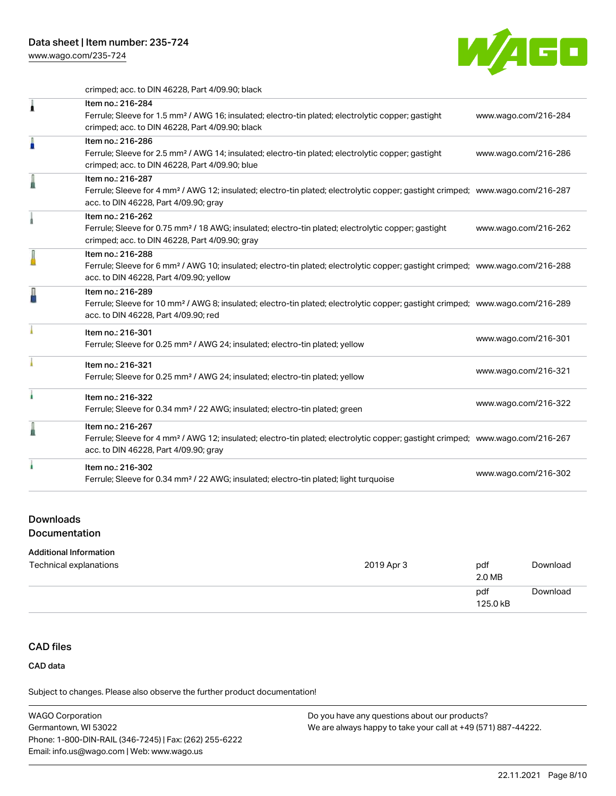

crimped; acc. to DIN 46228, Part 4/09.90; black

| Item no.: 216-284<br>Ferrule; Sleeve for 1.5 mm <sup>2</sup> / AWG 16; insulated; electro-tin plated; electrolytic copper; gastight<br>crimped; acc. to DIN 46228, Part 4/09.90; black                     | www.wago.com/216-284 |
|------------------------------------------------------------------------------------------------------------------------------------------------------------------------------------------------------------|----------------------|
| Item no.: 216-286<br>Ferrule; Sleeve for 2.5 mm <sup>2</sup> / AWG 14; insulated; electro-tin plated; electrolytic copper; gastight<br>crimped; acc. to DIN 46228, Part 4/09.90; blue                      | www.wago.com/216-286 |
| Item no.: 216-287<br>Ferrule; Sleeve for 4 mm <sup>2</sup> / AWG 12; insulated; electro-tin plated; electrolytic copper; gastight crimped; www.wago.com/216-287<br>acc. to DIN 46228, Part 4/09.90; gray   |                      |
| Item no.: 216-262<br>Ferrule; Sleeve for 0.75 mm <sup>2</sup> / 18 AWG; insulated; electro-tin plated; electrolytic copper; gastight<br>crimped; acc. to DIN 46228, Part 4/09.90; gray                     | www.wago.com/216-262 |
| Item no.: 216-288<br>Ferrule; Sleeve for 6 mm <sup>2</sup> / AWG 10; insulated; electro-tin plated; electrolytic copper; gastight crimped; www.wago.com/216-288<br>acc. to DIN 46228, Part 4/09.90; yellow |                      |
| Item no.: 216-289<br>Ferrule; Sleeve for 10 mm <sup>2</sup> / AWG 8; insulated; electro-tin plated; electrolytic copper; gastight crimped; www.wago.com/216-289<br>acc. to DIN 46228, Part 4/09.90; red    |                      |
| Item no.: 216-301<br>Ferrule; Sleeve for 0.25 mm <sup>2</sup> / AWG 24; insulated; electro-tin plated; yellow                                                                                              | www.wago.com/216-301 |
| Item no.: 216-321<br>Ferrule; Sleeve for 0.25 mm <sup>2</sup> / AWG 24; insulated; electro-tin plated; yellow                                                                                              | www.wago.com/216-321 |
| Item no.: 216-322<br>Ferrule; Sleeve for 0.34 mm <sup>2</sup> / 22 AWG; insulated; electro-tin plated; green                                                                                               | www.wago.com/216-322 |
| Item no.: 216-267<br>Ferrule; Sleeve for 4 mm <sup>2</sup> / AWG 12; insulated; electro-tin plated; electrolytic copper; gastight crimped; www.wago.com/216-267<br>acc. to DIN 46228, Part 4/09.90; gray   |                      |
| Item no.: 216-302<br>Ferrule; Sleeve for 0.34 mm <sup>2</sup> / 22 AWG; insulated; electro-tin plated; light turquoise                                                                                     | www.wago.com/216-302 |

#### Downloads

Documentation

#### Additional Information

| Technical explanations | 2019 Apr 3 | pdf<br>2.0 MB   | Download |
|------------------------|------------|-----------------|----------|
|                        |            | pdf<br>125.0 kB | Download |

# CAD files

CAD data

Subject to changes. Please also observe the further product documentation!

WAGO Corporation Germantown, WI 53022 Phone: 1-800-DIN-RAIL (346-7245) | Fax: (262) 255-6222 Email: info.us@wago.com | Web: www.wago.us Do you have any questions about our products? We are always happy to take your call at +49 (571) 887-44222.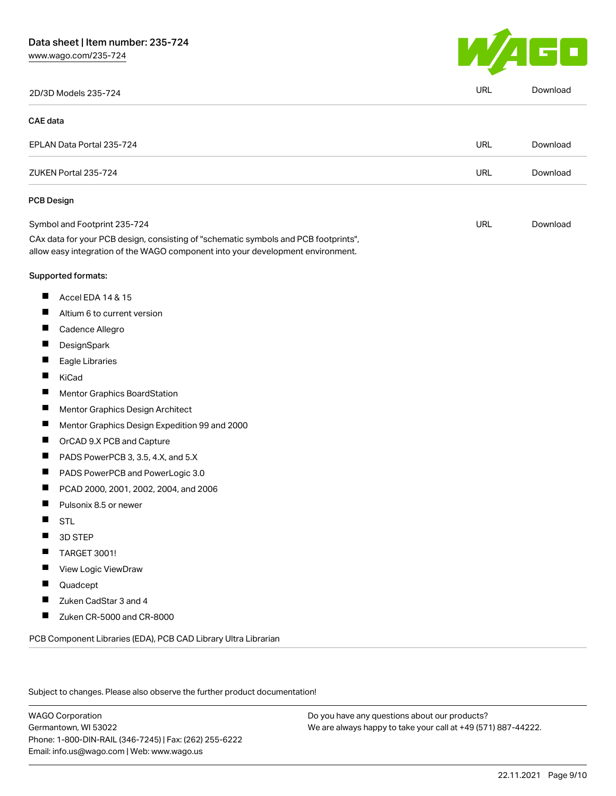

|                 | 2D/3D Models 235-724                                                                                                                                                   | URL        | Download |
|-----------------|------------------------------------------------------------------------------------------------------------------------------------------------------------------------|------------|----------|
| <b>CAE</b> data |                                                                                                                                                                        |            |          |
|                 | EPLAN Data Portal 235-724                                                                                                                                              | <b>URL</b> | Download |
|                 | ZUKEN Portal 235-724                                                                                                                                                   | <b>URL</b> | Download |
|                 | <b>PCB Design</b>                                                                                                                                                      |            |          |
|                 | Symbol and Footprint 235-724                                                                                                                                           | URL        | Download |
|                 | CAx data for your PCB design, consisting of "schematic symbols and PCB footprints",<br>allow easy integration of the WAGO component into your development environment. |            |          |
|                 | Supported formats:                                                                                                                                                     |            |          |
| ш               | Accel EDA 14 & 15                                                                                                                                                      |            |          |
| П               | Altium 6 to current version                                                                                                                                            |            |          |
| ш               | Cadence Allegro                                                                                                                                                        |            |          |
| ш               | DesignSpark                                                                                                                                                            |            |          |
| ш               | Eagle Libraries                                                                                                                                                        |            |          |
| П               | KiCad                                                                                                                                                                  |            |          |
|                 | Mentor Graphics BoardStation                                                                                                                                           |            |          |
| П               | Mentor Graphics Design Architect                                                                                                                                       |            |          |
| щ               | Mentor Graphics Design Expedition 99 and 2000                                                                                                                          |            |          |
|                 | OrCAD 9.X PCB and Capture                                                                                                                                              |            |          |
| ш               | PADS PowerPCB 3, 3.5, 4.X, and 5.X                                                                                                                                     |            |          |
| ш               | PADS PowerPCB and PowerLogic 3.0                                                                                                                                       |            |          |
| П               | PCAD 2000, 2001, 2002, 2004, and 2006                                                                                                                                  |            |          |
| H               | Pulsonix 8.5 or newer                                                                                                                                                  |            |          |
| ш               | <b>STL</b>                                                                                                                                                             |            |          |
| ш               | 3D STEP                                                                                                                                                                |            |          |
|                 | TARGET 3001!                                                                                                                                                           |            |          |
| ш               | View Logic ViewDraw                                                                                                                                                    |            |          |
| ш               | Quadcept                                                                                                                                                               |            |          |
| ш               | Zuken CadStar 3 and 4                                                                                                                                                  |            |          |
| Ш               | Zuken CR-5000 and CR-8000                                                                                                                                              |            |          |
|                 | PCB Component Libraries (EDA), PCB CAD Library Ultra Librarian                                                                                                         |            |          |

Subject to changes. Please also observe the further product documentation!

WAGO Corporation Germantown, WI 53022 Phone: 1-800-DIN-RAIL (346-7245) | Fax: (262) 255-6222 Email: info.us@wago.com | Web: www.wago.us